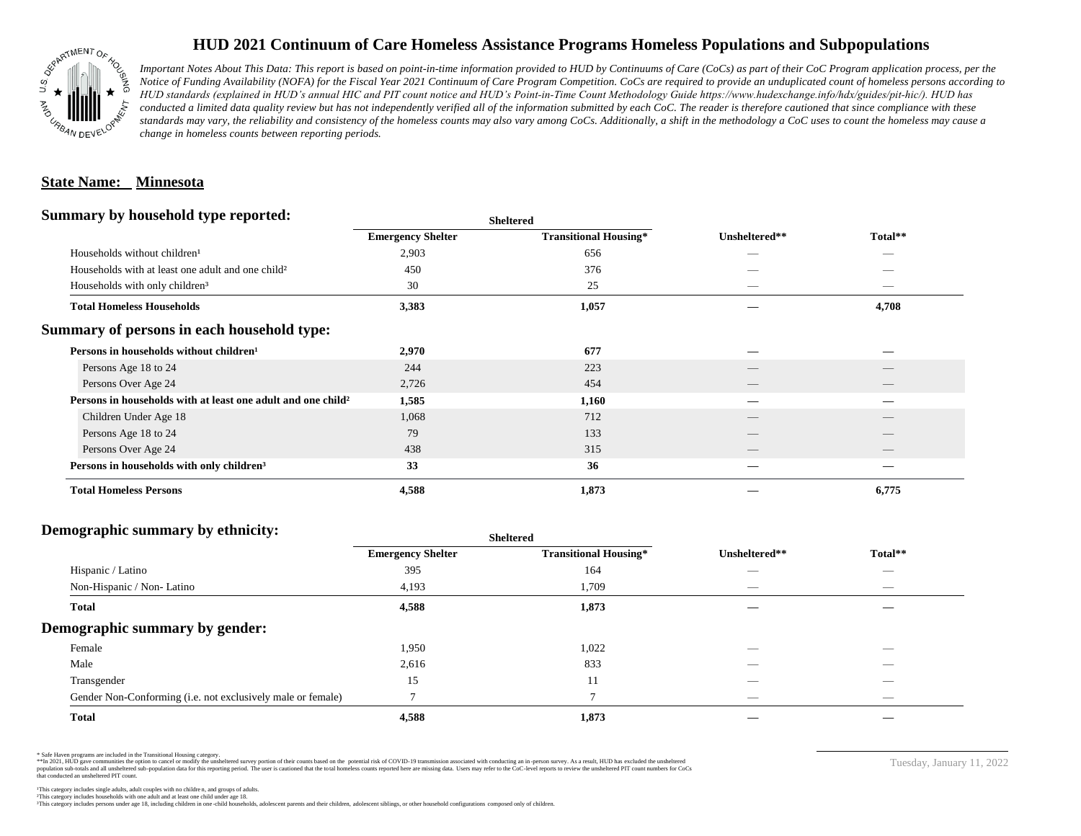

# **HUD 2021 Continuum of Care Homeless Assistance Programs Homeless Populations and Subpopulations**

*Important Notes About This Data: This report is based on point-in-time information provided to HUD by Continuums of Care (CoCs) as part of their CoC Program application process, per the Notice of Funding Availability (NOFA) for the Fiscal Year 2021 Continuum of Care Program Competition. CoCs are required to provide an unduplicated count of homeless persons according to HUD standards (explained in HUD's annual HIC and PIT count notice and HUD's Point-in-Time Count Methodology Guide https://www.hudexchange.info/hdx/guides/pit-hic/). HUD has*  conducted a limited data quality review but has not independently verified all of the information submitted by each CoC. The reader is therefore cautioned that since compliance with these standards may vary, the reliability and consistency of the homeless counts may also vary among CoCs. Additionally, a shift in the methodology a CoC uses to count the homeless may cause a *change in homeless counts between reporting periods.*

### **State Name: Minnesota**

#### **Summary by household type reported:**

|                                                                          |                          | patter                       |                                 |                                 |  |
|--------------------------------------------------------------------------|--------------------------|------------------------------|---------------------------------|---------------------------------|--|
|                                                                          | <b>Emergency Shelter</b> | <b>Transitional Housing*</b> | Unsheltered**                   | Total**                         |  |
| Households without children <sup>1</sup>                                 | 2,903                    | 656                          | _                               |                                 |  |
| Households with at least one adult and one child <sup>2</sup>            | 450                      | 376                          |                                 |                                 |  |
| Households with only children <sup>3</sup>                               | 30                       | 25                           |                                 | _                               |  |
| <b>Total Homeless Households</b>                                         | 3,383                    | 1,057                        |                                 | 4,708                           |  |
| Summary of persons in each household type:                               |                          |                              |                                 |                                 |  |
| Persons in households without children <sup>1</sup>                      | 2,970                    | 677                          |                                 |                                 |  |
| Persons Age 18 to 24                                                     | 244                      | 223                          |                                 |                                 |  |
| Persons Over Age 24                                                      | 2,726                    | 454                          | $\hspace{0.1mm}-\hspace{0.1mm}$ | $\hspace{0.1mm}-\hspace{0.1mm}$ |  |
| Persons in households with at least one adult and one child <sup>2</sup> | 1,585                    | 1,160                        | --                              | _                               |  |
| Children Under Age 18                                                    | 1,068                    | 712                          |                                 |                                 |  |
| Persons Age 18 to 24                                                     | 79                       | 133                          |                                 |                                 |  |
| Persons Over Age 24                                                      | 438                      | 315                          | __                              | __                              |  |
| Persons in households with only children <sup>3</sup>                    | 33                       | 36                           |                                 |                                 |  |
| <b>Total Homeless Persons</b>                                            | 4,588                    | 1,873                        |                                 | 6,775                           |  |
|                                                                          |                          |                              |                                 |                                 |  |

**Sheltered**

## **Demographic summary by ethnicity:**

|                                                             | <b>Sheltered</b>         |                              |                          |                          |  |
|-------------------------------------------------------------|--------------------------|------------------------------|--------------------------|--------------------------|--|
|                                                             | <b>Emergency Shelter</b> | <b>Transitional Housing*</b> | Unsheltered**            | Total**                  |  |
| Hispanic / Latino                                           | 395                      | 164                          | __                       | $\overline{\phantom{a}}$ |  |
| Non-Hispanic / Non-Latino                                   | 4,193                    | 1,709                        |                          |                          |  |
| <b>Total</b>                                                | 4,588                    | 1,873                        |                          |                          |  |
| Demographic summary by gender:                              |                          |                              |                          |                          |  |
| Female                                                      | 1,950                    | 1,022                        | _                        | $\overline{\phantom{a}}$ |  |
| Male                                                        | 2,616                    | 833                          |                          |                          |  |
| Transgender                                                 | 15                       | 11                           |                          | $\sim$                   |  |
| Gender Non-Conforming (i.e. not exclusively male or female) |                          | $\overline{ }$               | $\overline{\phantom{a}}$ | $\overline{\phantom{a}}$ |  |
| <b>Total</b>                                                | 4,588                    | 1,873                        |                          |                          |  |

\* Safe Haven programs are included in the Transitional Housing category.

\*\*In 2021, HUD gave communities the option to cancel or modify the unsheltered survey portion of their counts based on the potential risk of COVID-19 transmission associated with conducting an in-person survey. As a result n political data for this reporting period. The user is cautioned that the total homeless counts reported here are missing data. Users may refer to the CoC-level reports to review the unshellered PIT count numbers for CoCs that conducted an unsheltered PIT count.

Tuesday, January 11, 2022